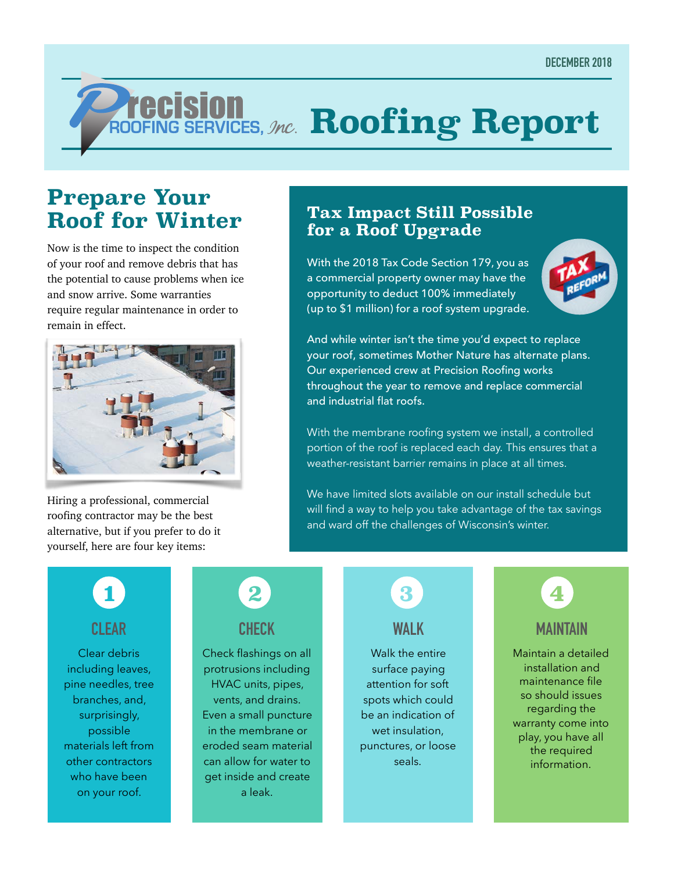# *ROOFING SERVICES, Jnc.* Roofing Report

## **Prepare Your Roof for Winter**

Now is the time to inspect the condition of your roof and remove debris that has the potential to cause problems when ice and snow arrive. Some warranties require regular maintenance in order to remain in effect.



Hiring a professional, commercial roofing contractor may be the best alternative, but if you prefer to do it yourself, here are four key items:

#### **Tax Impact Still Possible for a Roof Upgrade**

With the 2018 Tax Code Section 179, you as a commercial property owner may have the opportunity to deduct 100% immediately (up to \$1 million) for a roof system upgrade.



And while winter isn't the time you'd expect to replace your roof, sometimes Mother Nature has alternate plans. Our experienced crew at Precision Roofing works throughout the year to remove and replace commercial and industrial flat roofs.

With the membrane roofing system we install, a controlled portion of the roof is replaced each day. This ensures that a weather-resistant barrier remains in place at all times.

We have limited slots available on our install schedule but will find a way to help you take advantage of the tax savings and ward off the challenges of Wisconsin's winter.

**CLEAR 1**

Clear debris including leaves, pine needles, tree branches, and, surprisingly, possible materials left from other contractors who have been on your roof.



Check flashings on all protrusions including HVAC units, pipes, vents, and drains. Even a small puncture in the membrane or eroded seam material can allow for water to get inside and create a leak.



Walk the entire surface paying attention for soft spots which could be an indication of wet insulation. punctures, or loose seals.



Maintain a detailed installation and maintenance file so should issues regarding the warranty come into play, you have all the required information.